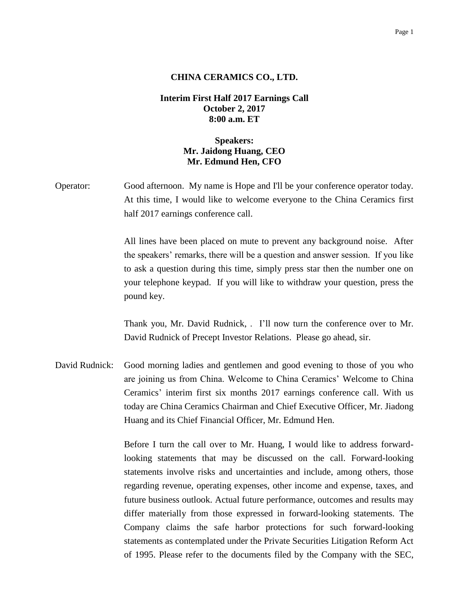#### Page 1

### **CHINA CERAMICS CO., LTD.**

## **Interim First Half 2017 Earnings Call October 2, 2017 8:00 a.m. ET**

# **Speakers: Mr. Jaidong Huang, CEO Mr. Edmund Hen, CFO**

Operator: Good afternoon. My name is Hope and I'll be your conference operator today. At this time, I would like to welcome everyone to the China Ceramics first half 2017 earnings conference call.

> All lines have been placed on mute to prevent any background noise. After the speakers' remarks, there will be a question and answer session. If you like to ask a question during this time, simply press star then the number one on your telephone keypad. If you will like to withdraw your question, press the pound key.

> Thank you, Mr. David Rudnick, . I'll now turn the conference over to Mr. David Rudnick of Precept Investor Relations. Please go ahead, sir.

David Rudnick: Good morning ladies and gentlemen and good evening to those of you who are joining us from China. Welcome to China Ceramics' Welcome to China Ceramics' interim first six months 2017 earnings conference call. With us today are China Ceramics Chairman and Chief Executive Officer, Mr. Jiadong Huang and its Chief Financial Officer, Mr. Edmund Hen.

> Before I turn the call over to Mr. Huang, I would like to address forwardlooking statements that may be discussed on the call. Forward-looking statements involve risks and uncertainties and include, among others, those regarding revenue, operating expenses, other income and expense, taxes, and future business outlook. Actual future performance, outcomes and results may differ materially from those expressed in forward-looking statements. The Company claims the safe harbor protections for such forward-looking statements as contemplated under the Private Securities Litigation Reform Act of 1995. Please refer to the documents filed by the Company with the SEC,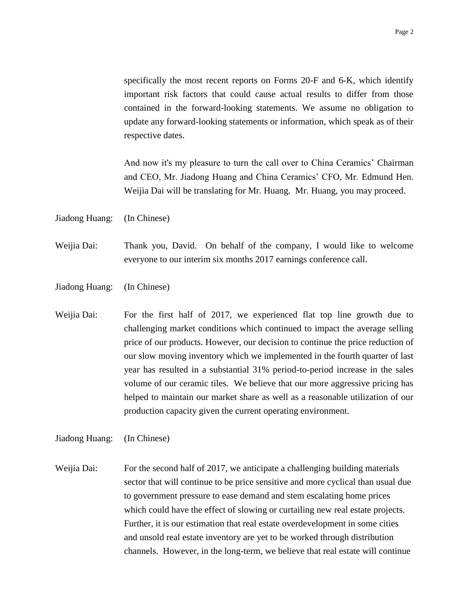specifically the most recent reports on Forms 20-F and 6-K, which identify important risk factors that could cause actual results to differ from those contained in the forward-looking statements. We assume no obligation to update any forward-looking statements or information, which speak as of their respective dates.

And now it's my pleasure to turn the call over to China Ceramics' Chairman and CEO, Mr. Jiadong Huang and China Ceramics' CFO, Mr. Edmund Hen. Weijia Dai will be translating for Mr. Huang. Mr. Huang, you may proceed.

Jiadong Huang: (In Chinese)

Weijia Dai: Thank you, David. On behalf of the company, I would like to welcome everyone to our interim six months 2017 earnings conference call.

- Jiadong Huang: (In Chinese)
- Weijia Dai: For the first half of 2017, we experienced flat top line growth due to challenging market conditions which continued to impact the average selling price of our products. However, our decision to continue the price reduction of our slow moving inventory which we implemented in the fourth quarter of last year has resulted in a substantial 31% period-to-period increase in the sales volume of our ceramic tiles. We believe that our more aggressive pricing has helped to maintain our market share as well as a reasonable utilization of our production capacity given the current operating environment.

Jiadong Huang: (In Chinese)

Weijia Dai: For the second half of 2017, we anticipate a challenging building materials sector that will continue to be price sensitive and more cyclical than usual due to government pressure to ease demand and stem escalating home prices which could have the effect of slowing or curtailing new real estate projects. Further, it is our estimation that real estate overdevelopment in some cities and unsold real estate inventory are yet to be worked through distribution channels. However, in the long-term, we believe that real estate will continue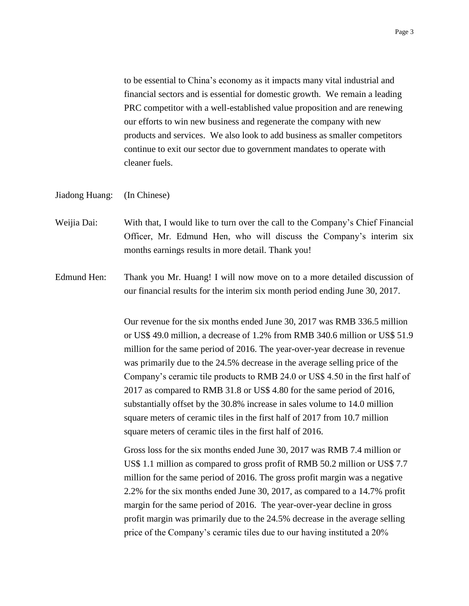to be essential to China's economy as it impacts many vital industrial and financial sectors and is essential for domestic growth. We remain a leading PRC competitor with a well-established value proposition and are renewing our efforts to win new business and regenerate the company with new products and services. We also look to add business as smaller competitors continue to exit our sector due to government mandates to operate with cleaner fuels.

### Jiadong Huang: (In Chinese)

- Weijia Dai: With that, I would like to turn over the call to the Company's Chief Financial Officer, Mr. Edmund Hen, who will discuss the Company's interim six months earnings results in more detail. Thank you!
- Edmund Hen: Thank you Mr. Huang! I will now move on to a more detailed discussion of our financial results for the interim six month period ending June 30, 2017.

Our revenue for the six months ended June 30, 2017 was RMB 336.5 million or US\$ 49.0 million, a decrease of 1.2% from RMB 340.6 million or US\$ 51.9 million for the same period of 2016. The year-over-year decrease in revenue was primarily due to the 24.5% decrease in the average selling price of the Company's ceramic tile products to RMB 24.0 or US\$ 4.50 in the first half of 2017 as compared to RMB 31.8 or US\$ 4.80 for the same period of 2016, substantially offset by the 30.8% increase in sales volume to 14.0 million square meters of ceramic tiles in the first half of 2017 from 10.7 million square meters of ceramic tiles in the first half of 2016.

Gross loss for the six months ended June 30, 2017 was RMB 7.4 million or US\$ 1.1 million as compared to gross profit of RMB 50.2 million or US\$ 7.7 million for the same period of 2016. The gross profit margin was a negative 2.2% for the six months ended June 30, 2017, as compared to a 14.7% profit margin for the same period of 2016. The year-over-year decline in gross profit margin was primarily due to the 24.5% decrease in the average selling price of the Company's ceramic tiles due to our having instituted a 20%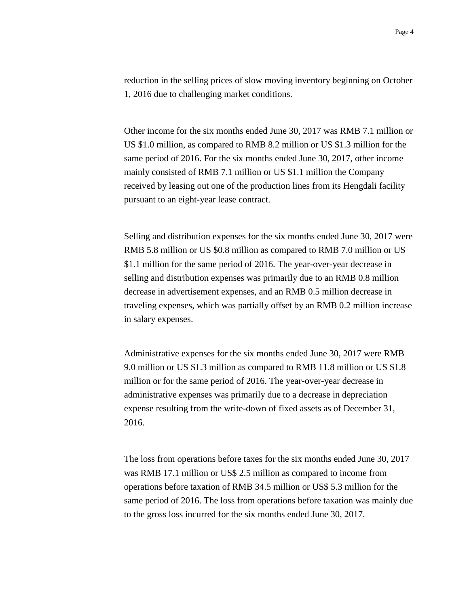reduction in the selling prices of slow moving inventory beginning on October 1, 2016 due to challenging market conditions.

Other income for the six months ended June 30, 2017 was RMB 7.1 million or US \$1.0 million, as compared to RMB 8.2 million or US \$1.3 million for the same period of 2016. For the six months ended June 30, 2017, other income mainly consisted of RMB 7.1 million or US \$1.1 million the Company received by leasing out one of the production lines from its Hengdali facility pursuant to an eight-year lease contract.

Selling and distribution expenses for the six months ended June 30, 2017 were RMB 5.8 million or US \$0.8 million as compared to RMB 7.0 million or US \$1.1 million for the same period of 2016. The year-over-year decrease in selling and distribution expenses was primarily due to an RMB 0.8 million decrease in advertisement expenses, and an RMB 0.5 million decrease in traveling expenses, which was partially offset by an RMB 0.2 million increase in salary expenses.

Administrative expenses for the six months ended June 30, 2017 were RMB 9.0 million or US \$1.3 million as compared to RMB 11.8 million or US \$1.8 million or for the same period of 2016. The year-over-year decrease in administrative expenses was primarily due to a decrease in depreciation expense resulting from the write-down of fixed assets as of December 31, 2016.

The loss from operations before taxes for the six months ended June 30, 2017 was RMB 17.1 million or US\$ 2.5 million as compared to income from operations before taxation of RMB 34.5 million or US\$ 5.3 million for the same period of 2016. The loss from operations before taxation was mainly due to the gross loss incurred for the six months ended June 30, 2017.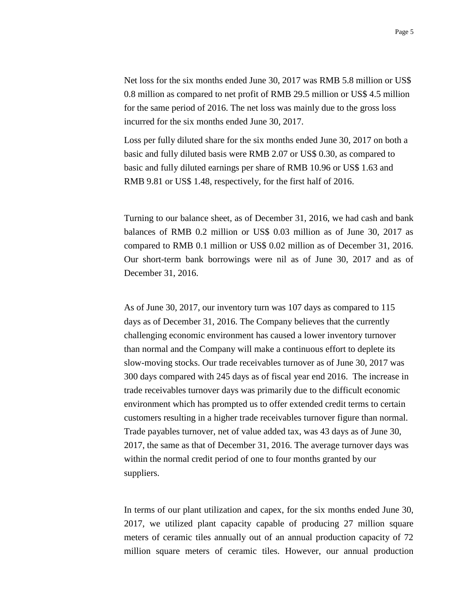Net loss for the six months ended June 30, 2017 was RMB 5.8 million or US\$ 0.8 million as compared to net profit of RMB 29.5 million or US\$ 4.5 million for the same period of 2016. The net loss was mainly due to the gross loss incurred for the six months ended June 30, 2017.

Loss per fully diluted share for the six months ended June 30, 2017 on both a basic and fully diluted basis were RMB 2.07 or US\$ 0.30, as compared to basic and fully diluted earnings per share of RMB 10.96 or US\$ 1.63 and RMB 9.81 or US\$ 1.48, respectively, for the first half of 2016.

Turning to our balance sheet, as of December 31, 2016, we had cash and bank balances of RMB 0.2 million or US\$ 0.03 million as of June 30, 2017 as compared to RMB 0.1 million or US\$ 0.02 million as of December 31, 2016. Our short-term bank borrowings were nil as of June 30, 2017 and as of December 31, 2016.

As of June 30, 2017, our inventory turn was 107 days as compared to 115 days as of December 31, 2016. The Company believes that the currently challenging economic environment has caused a lower inventory turnover than normal and the Company will make a continuous effort to deplete its slow-moving stocks. Our trade receivables turnover as of June 30, 2017 was 300 days compared with 245 days as of fiscal year end 2016. The increase in trade receivables turnover days was primarily due to the difficult economic environment which has prompted us to offer extended credit terms to certain customers resulting in a higher trade receivables turnover figure than normal. Trade payables turnover, net of value added tax, was 43 days as of June 30, 2017, the same as that of December 31, 2016. The average turnover days was within the normal credit period of one to four months granted by our suppliers.

In terms of our plant utilization and capex, for the six months ended June 30, 2017, we utilized plant capacity capable of producing 27 million square meters of ceramic tiles annually out of an annual production capacity of 72 million square meters of ceramic tiles. However, our annual production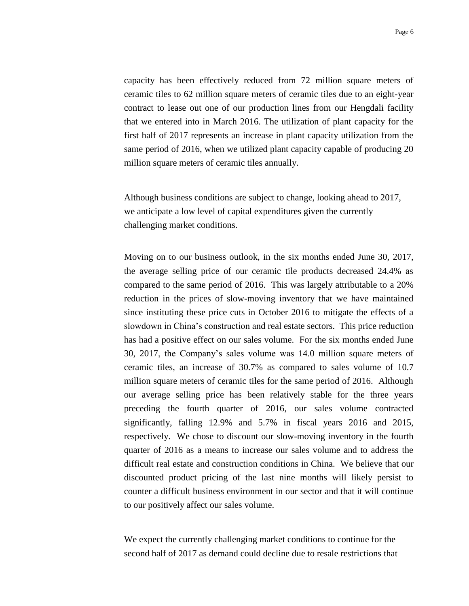capacity has been effectively reduced from 72 million square meters of ceramic tiles to 62 million square meters of ceramic tiles due to an eight-year contract to lease out one of our production lines from our Hengdali facility that we entered into in March 2016. The utilization of plant capacity for the first half of 2017 represents an increase in plant capacity utilization from the same period of 2016, when we utilized plant capacity capable of producing 20 million square meters of ceramic tiles annually.

Although business conditions are subject to change, looking ahead to 2017, we anticipate a low level of capital expenditures given the currently challenging market conditions.

Moving on to our business outlook, in the six months ended June 30, 2017, the average selling price of our ceramic tile products decreased 24.4% as compared to the same period of 2016. This was largely attributable to a 20% reduction in the prices of slow-moving inventory that we have maintained since instituting these price cuts in October 2016 to mitigate the effects of a slowdown in China's construction and real estate sectors. This price reduction has had a positive effect on our sales volume. For the six months ended June 30, 2017, the Company's sales volume was 14.0 million square meters of ceramic tiles, an increase of 30.7% as compared to sales volume of 10.7 million square meters of ceramic tiles for the same period of 2016. Although our average selling price has been relatively stable for the three years preceding the fourth quarter of 2016, our sales volume contracted significantly, falling 12.9% and 5.7% in fiscal years 2016 and 2015, respectively. We chose to discount our slow-moving inventory in the fourth quarter of 2016 as a means to increase our sales volume and to address the difficult real estate and construction conditions in China. We believe that our discounted product pricing of the last nine months will likely persist to counter a difficult business environment in our sector and that it will continue to our positively affect our sales volume.

We expect the currently challenging market conditions to continue for the second half of 2017 as demand could decline due to resale restrictions that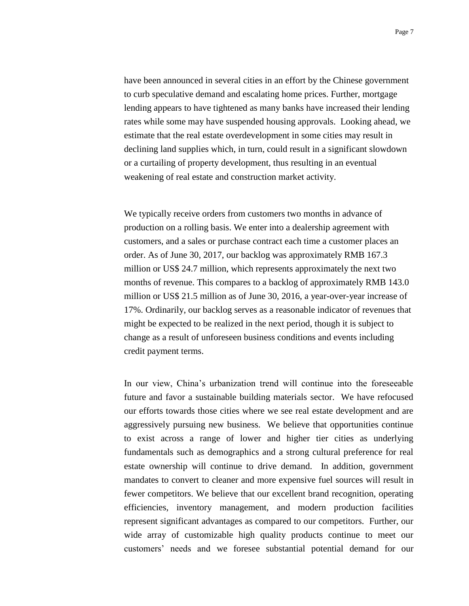have been announced in several cities in an effort by the Chinese government to curb speculative demand and escalating home prices. Further, mortgage lending appears to have tightened as many banks have increased their lending rates while some may have suspended housing approvals. Looking ahead, we estimate that the real estate overdevelopment in some cities may result in declining land supplies which, in turn, could result in a significant slowdown or a curtailing of property development, thus resulting in an eventual weakening of real estate and construction market activity.

We typically receive orders from customers two months in advance of production on a rolling basis. We enter into a dealership agreement with customers, and a sales or purchase contract each time a customer places an order. As of June 30, 2017, our backlog was approximately RMB 167.3 million or US\$ 24.7 million, which represents approximately the next two months of revenue. This compares to a backlog of approximately RMB 143.0 million or US\$ 21.5 million as of June 30, 2016, a year-over-year increase of 17%. Ordinarily, our backlog serves as a reasonable indicator of revenues that might be expected to be realized in the next period, though it is subject to change as a result of unforeseen business conditions and events including credit payment terms.

In our view, China's urbanization trend will continue into the foreseeable future and favor a sustainable building materials sector. We have refocused our efforts towards those cities where we see real estate development and are aggressively pursuing new business. We believe that opportunities continue to exist across a range of lower and higher tier cities as underlying fundamentals such as demographics and a strong cultural preference for real estate ownership will continue to drive demand. In addition, government mandates to convert to cleaner and more expensive fuel sources will result in fewer competitors. We believe that our excellent brand recognition, operating efficiencies, inventory management, and modern production facilities represent significant advantages as compared to our competitors. Further, our wide array of customizable high quality products continue to meet our customers' needs and we foresee substantial potential demand for our